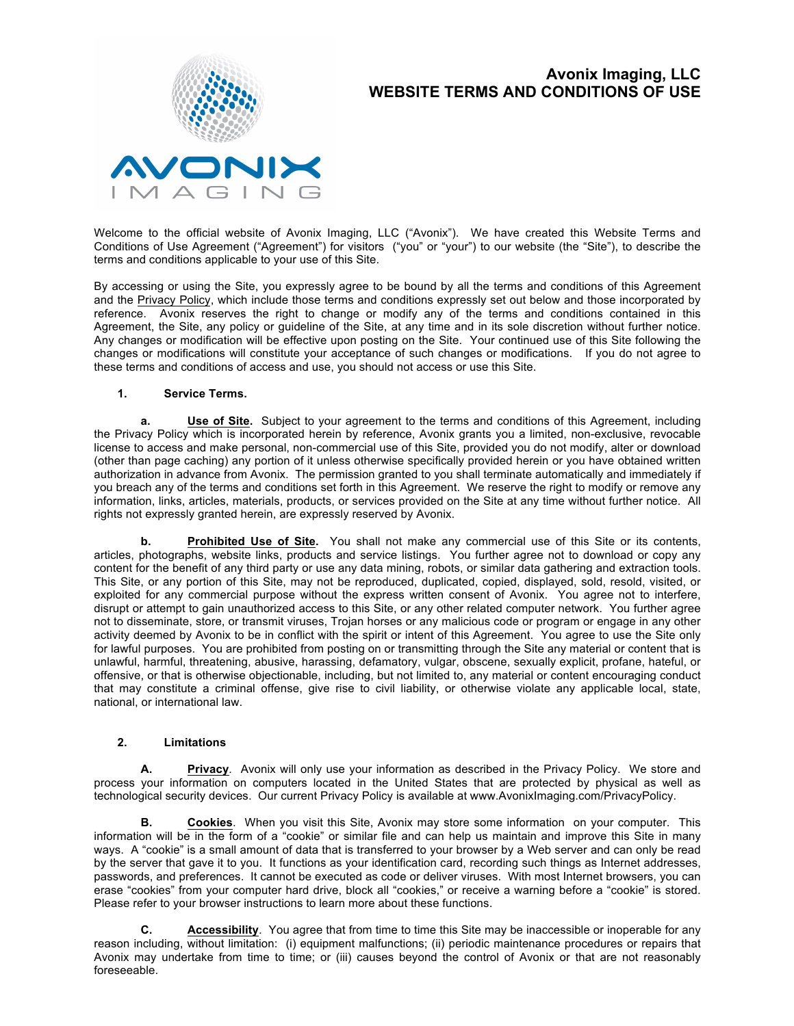

# **Avonix Imaging, LLC WEBSITE TERMS AND CONDITIONS OF USE**

Welcome to the official website of Avonix Imaging, LLC ("Avonix"). We have created this Website Terms and Conditions of Use Agreement ("Agreement") for visitors ("you" or "your") to our website (the "Site"), to describe the terms and conditions applicable to your use of this Site.

By accessing or using the Site, you expressly agree to be bound by all the terms and conditions of this Agreement and the Privacy Policy, which include those terms and conditions expressly set out below and those incorporated by reference. Avonix reserves the right to change or modify any of the terms and conditions contained in this Agreement, the Site, any policy or guideline of the Site, at any time and in its sole discretion without further notice. Any changes or modification will be effective upon posting on the Site. Your continued use of this Site following the changes or modifications will constitute your acceptance of such changes or modifications. If you do not agree to these terms and conditions of access and use, you should not access or use this Site.

### **1. Service Terms.**

**a. Use of Site.** Subject to your agreement to the terms and conditions of this Agreement, including the Privacy Policy which is incorporated herein by reference, Avonix grants you a limited, non-exclusive, revocable license to access and make personal, non-commercial use of this Site, provided you do not modify, alter or download (other than page caching) any portion of it unless otherwise specifically provided herein or you have obtained written authorization in advance from Avonix. The permission granted to you shall terminate automatically and immediately if you breach any of the terms and conditions set forth in this Agreement. We reserve the right to modify or remove any information, links, articles, materials, products, or services provided on the Site at any time without further notice. All rights not expressly granted herein, are expressly reserved by Avonix.

**b. Prohibited Use of Site.** You shall not make any commercial use of this Site or its contents, articles, photographs, website links, products and service listings. You further agree not to download or copy any content for the benefit of any third party or use any data mining, robots, or similar data gathering and extraction tools. This Site, or any portion of this Site, may not be reproduced, duplicated, copied, displayed, sold, resold, visited, or exploited for any commercial purpose without the express written consent of Avonix. You agree not to interfere, disrupt or attempt to gain unauthorized access to this Site, or any other related computer network. You further agree not to disseminate, store, or transmit viruses, Trojan horses or any malicious code or program or engage in any other activity deemed by Avonix to be in conflict with the spirit or intent of this Agreement. You agree to use the Site only for lawful purposes. You are prohibited from posting on or transmitting through the Site any material or content that is unlawful, harmful, threatening, abusive, harassing, defamatory, vulgar, obscene, sexually explicit, profane, hateful, or offensive, or that is otherwise objectionable, including, but not limited to, any material or content encouraging conduct that may constitute a criminal offense, give rise to civil liability, or otherwise violate any applicable local, state, national, or international law.

### **2. Limitations**

**A. Privacy***.* Avonix will only use your information as described in the Privacy Policy. We store and process your information on computers located in the United States that are protected by physical as well as technological security devices. Our current Privacy Policy is available at www.AvonixImaging.com/PrivacyPolicy.

**B. Cookies**. When you visit this Site, Avonix may store some information on your computer. This information will be in the form of a "cookie" or similar file and can help us maintain and improve this Site in many ways. A "cookie" is a small amount of data that is transferred to your browser by a Web server and can only be read by the server that gave it to you. It functions as your identification card, recording such things as Internet addresses, passwords, and preferences. It cannot be executed as code or deliver viruses. With most Internet browsers, you can erase "cookies" from your computer hard drive, block all "cookies," or receive a warning before a "cookie" is stored. Please refer to your browser instructions to learn more about these functions.

**C. Accessibility**. You agree that from time to time this Site may be inaccessible or inoperable for any reason including, without limitation: (i) equipment malfunctions; (ii) periodic maintenance procedures or repairs that Avonix may undertake from time to time; or (iii) causes beyond the control of Avonix or that are not reasonably foreseeable.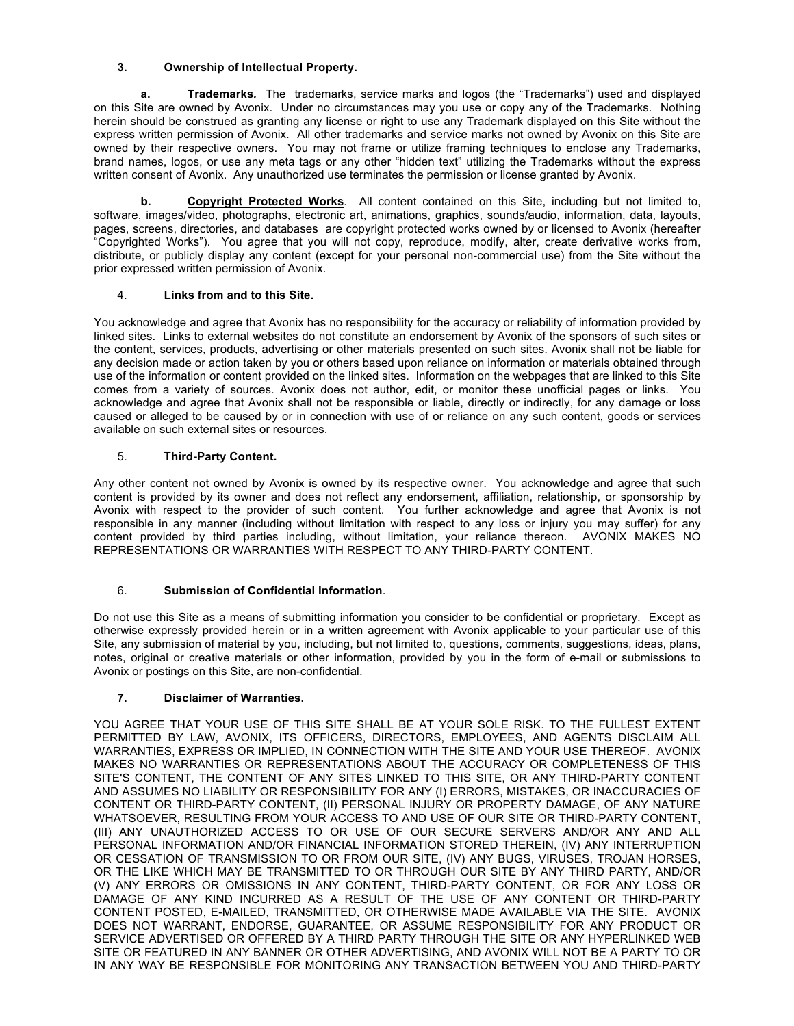# **3. Ownership of Intellectual Property.**

**a. Trademarks***.* The trademarks, service marks and logos (the "Trademarks") used and displayed on this Site are owned by Avonix. Under no circumstances may you use or copy any of the Trademarks. Nothing herein should be construed as granting any license or right to use any Trademark displayed on this Site without the express written permission of Avonix. All other trademarks and service marks not owned by Avonix on this Site are owned by their respective owners. You may not frame or utilize framing techniques to enclose any Trademarks, brand names, logos, or use any meta tags or any other "hidden text" utilizing the Trademarks without the express written consent of Avonix. Any unauthorized use terminates the permission or license granted by Avonix.

**b. Copyright Protected Works***.* All content contained on this Site, including but not limited to, software, images/video, photographs, electronic art, animations, graphics, sounds/audio, information, data, layouts, pages, screens, directories, and databases are copyright protected works owned by or licensed to Avonix (hereafter "Copyrighted Works"). You agree that you will not copy, reproduce, modify, alter, create derivative works from, distribute, or publicly display any content (except for your personal non-commercial use) from the Site without the prior expressed written permission of Avonix.

## 4. **Links from and to this Site.**

You acknowledge and agree that Avonix has no responsibility for the accuracy or reliability of information provided by linked sites. Links to external websites do not constitute an endorsement by Avonix of the sponsors of such sites or the content, services, products, advertising or other materials presented on such sites. Avonix shall not be liable for any decision made or action taken by you or others based upon reliance on information or materials obtained through use of the information or content provided on the linked sites. Information on the webpages that are linked to this Site comes from a variety of sources. Avonix does not author, edit, or monitor these unofficial pages or links. You acknowledge and agree that Avonix shall not be responsible or liable, directly or indirectly, for any damage or loss caused or alleged to be caused by or in connection with use of or reliance on any such content, goods or services available on such external sites or resources.

# 5. **Third-Party Content.**

Any other content not owned by Avonix is owned by its respective owner. You acknowledge and agree that such content is provided by its owner and does not reflect any endorsement, affiliation, relationship, or sponsorship by Avonix with respect to the provider of such content. You further acknowledge and agree that Avonix is not responsible in any manner (including without limitation with respect to any loss or injury you may suffer) for any content provided by third parties including, without limitation, your reliance thereon. AVONIX MAKES NO REPRESENTATIONS OR WARRANTIES WITH RESPECT TO ANY THIRD-PARTY CONTENT.

# 6. **Submission of Confidential Information**.

Do not use this Site as a means of submitting information you consider to be confidential or proprietary. Except as otherwise expressly provided herein or in a written agreement with Avonix applicable to your particular use of this Site, any submission of material by you, including, but not limited to, questions, comments, suggestions, ideas, plans, notes, original or creative materials or other information, provided by you in the form of e-mail or submissions to Avonix or postings on this Site, are non-confidential.

## **7. Disclaimer of Warranties.**

YOU AGREE THAT YOUR USE OF THIS SITE SHALL BE AT YOUR SOLE RISK. TO THE FULLEST EXTENT PERMITTED BY LAW, AVONIX, ITS OFFICERS, DIRECTORS, EMPLOYEES, AND AGENTS DISCLAIM ALL WARRANTIES, EXPRESS OR IMPLIED, IN CONNECTION WITH THE SITE AND YOUR USE THEREOF. AVONIX MAKES NO WARRANTIES OR REPRESENTATIONS ABOUT THE ACCURACY OR COMPLETENESS OF THIS SITE'S CONTENT, THE CONTENT OF ANY SITES LINKED TO THIS SITE, OR ANY THIRD-PARTY CONTENT AND ASSUMES NO LIABILITY OR RESPONSIBILITY FOR ANY (I) ERRORS, MISTAKES, OR INACCURACIES OF CONTENT OR THIRD-PARTY CONTENT, (II) PERSONAL INJURY OR PROPERTY DAMAGE, OF ANY NATURE WHATSOEVER, RESULTING FROM YOUR ACCESS TO AND USE OF OUR SITE OR THIRD-PARTY CONTENT, (III) ANY UNAUTHORIZED ACCESS TO OR USE OF OUR SECURE SERVERS AND/OR ANY AND ALL PERSONAL INFORMATION AND/OR FINANCIAL INFORMATION STORED THEREIN, (IV) ANY INTERRUPTION OR CESSATION OF TRANSMISSION TO OR FROM OUR SITE, (IV) ANY BUGS, VIRUSES, TROJAN HORSES, OR THE LIKE WHICH MAY BE TRANSMITTED TO OR THROUGH OUR SITE BY ANY THIRD PARTY, AND/OR (V) ANY ERRORS OR OMISSIONS IN ANY CONTENT, THIRD-PARTY CONTENT, OR FOR ANY LOSS OR DAMAGE OF ANY KIND INCURRED AS A RESULT OF THE USE OF ANY CONTENT OR THIRD-PARTY CONTENT POSTED, E-MAILED, TRANSMITTED, OR OTHERWISE MADE AVAILABLE VIA THE SITE. AVONIX DOES NOT WARRANT, ENDORSE, GUARANTEE, OR ASSUME RESPONSIBILITY FOR ANY PRODUCT OR SERVICE ADVERTISED OR OFFERED BY A THIRD PARTY THROUGH THE SITE OR ANY HYPERLINKED WEB SITE OR FEATURED IN ANY BANNER OR OTHER ADVERTISING, AND AVONIX WILL NOT BE A PARTY TO OR IN ANY WAY BE RESPONSIBLE FOR MONITORING ANY TRANSACTION BETWEEN YOU AND THIRD-PARTY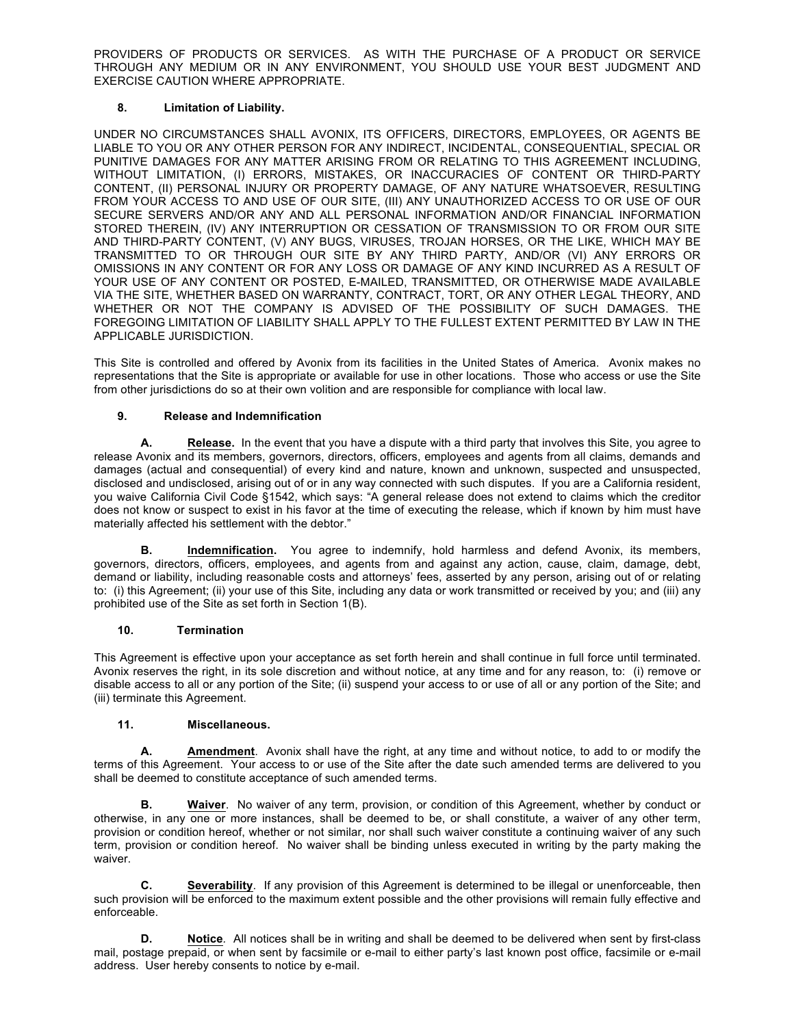PROVIDERS OF PRODUCTS OR SERVICES. AS WITH THE PURCHASE OF A PRODUCT OR SERVICE THROUGH ANY MEDIUM OR IN ANY ENVIRONMENT, YOU SHOULD USE YOUR BEST JUDGMENT AND EXERCISE CAUTION WHERE APPROPRIATE.

## **8. Limitation of Liability.**

UNDER NO CIRCUMSTANCES SHALL AVONIX, ITS OFFICERS, DIRECTORS, EMPLOYEES, OR AGENTS BE LIABLE TO YOU OR ANY OTHER PERSON FOR ANY INDIRECT, INCIDENTAL, CONSEQUENTIAL, SPECIAL OR PUNITIVE DAMAGES FOR ANY MATTER ARISING FROM OR RELATING TO THIS AGREEMENT INCLUDING, WITHOUT LIMITATION, (I) ERRORS, MISTAKES, OR INACCURACIES OF CONTENT OR THIRD-PARTY CONTENT, (II) PERSONAL INJURY OR PROPERTY DAMAGE, OF ANY NATURE WHATSOEVER, RESULTING FROM YOUR ACCESS TO AND USE OF OUR SITE, (III) ANY UNAUTHORIZED ACCESS TO OR USE OF OUR SECURE SERVERS AND/OR ANY AND ALL PERSONAL INFORMATION AND/OR FINANCIAL INFORMATION STORED THEREIN, (IV) ANY INTERRUPTION OR CESSATION OF TRANSMISSION TO OR FROM OUR SITE AND THIRD-PARTY CONTENT, (V) ANY BUGS, VIRUSES, TROJAN HORSES, OR THE LIKE, WHICH MAY BE TRANSMITTED TO OR THROUGH OUR SITE BY ANY THIRD PARTY, AND/OR (VI) ANY ERRORS OR OMISSIONS IN ANY CONTENT OR FOR ANY LOSS OR DAMAGE OF ANY KIND INCURRED AS A RESULT OF YOUR USE OF ANY CONTENT OR POSTED, E-MAILED, TRANSMITTED, OR OTHERWISE MADE AVAILABLE VIA THE SITE, WHETHER BASED ON WARRANTY, CONTRACT, TORT, OR ANY OTHER LEGAL THEORY, AND WHETHER OR NOT THE COMPANY IS ADVISED OF THE POSSIBILITY OF SUCH DAMAGES. THE FOREGOING LIMITATION OF LIABILITY SHALL APPLY TO THE FULLEST EXTENT PERMITTED BY LAW IN THE APPLICABLE JURISDICTION.

This Site is controlled and offered by Avonix from its facilities in the United States of America. Avonix makes no representations that the Site is appropriate or available for use in other locations. Those who access or use the Site from other jurisdictions do so at their own volition and are responsible for compliance with local law.

### **9. Release and Indemnification**

**A. Release.** In the event that you have a dispute with a third party that involves this Site, you agree to release Avonix and its members, governors, directors, officers, employees and agents from all claims, demands and damages (actual and consequential) of every kind and nature, known and unknown, suspected and unsuspected, disclosed and undisclosed, arising out of or in any way connected with such disputes. If you are a California resident, you waive California Civil Code §1542, which says: "A general release does not extend to claims which the creditor does not know or suspect to exist in his favor at the time of executing the release, which if known by him must have materially affected his settlement with the debtor."

**B. Indemnification.** You agree to indemnify, hold harmless and defend Avonix, its members, governors, directors, officers, employees, and agents from and against any action, cause, claim, damage, debt, demand or liability, including reasonable costs and attorneys' fees, asserted by any person, arising out of or relating to: (i) this Agreement; (ii) your use of this Site, including any data or work transmitted or received by you; and (iii) any prohibited use of the Site as set forth in Section 1(B).

### **10. Termination**

This Agreement is effective upon your acceptance as set forth herein and shall continue in full force until terminated. Avonix reserves the right, in its sole discretion and without notice, at any time and for any reason, to: (i) remove or disable access to all or any portion of the Site; (ii) suspend your access to or use of all or any portion of the Site; and (iii) terminate this Agreement.

### **11. Miscellaneous.**

**A. Amendment**. Avonix shall have the right, at any time and without notice, to add to or modify the terms of this Agreement. Your access to or use of the Site after the date such amended terms are delivered to you shall be deemed to constitute acceptance of such amended terms.

**B.** Waiver. No waiver of any term, provision, or condition of this Agreement, whether by conduct or otherwise, in any one or more instances, shall be deemed to be, or shall constitute, a waiver of any other term, provision or condition hereof, whether or not similar, nor shall such waiver constitute a continuing waiver of any such term, provision or condition hereof. No waiver shall be binding unless executed in writing by the party making the waiver.

**C. Severability**. If any provision of this Agreement is determined to be illegal or unenforceable, then such provision will be enforced to the maximum extent possible and the other provisions will remain fully effective and enforceable.

**D. Notice***.* All notices shall be in writing and shall be deemed to be delivered when sent by first-class mail, postage prepaid, or when sent by facsimile or e-mail to either party's last known post office, facsimile or e-mail address. User hereby consents to notice by e-mail.